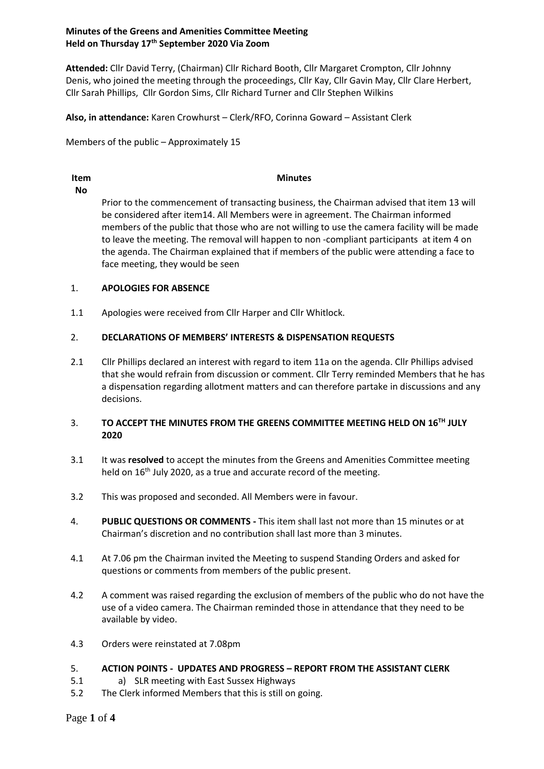# **Minutes of the Greens and Amenities Committee Meeting Held on Thursday 17 th September 2020 Via Zoom**

**Attended:** Cllr David Terry, (Chairman) Cllr Richard Booth, Cllr Margaret Crompton, Cllr Johnny Denis, who joined the meeting through the proceedings, Cllr Kay, Cllr Gavin May, Cllr Clare Herbert, Cllr Sarah Phillips, Cllr Gordon Sims, Cllr Richard Turner and Cllr Stephen Wilkins

**Also, in attendance:** Karen Crowhurst – Clerk/RFO, Corinna Goward – Assistant Clerk

Members of the public – Approximately 15

# **Item**

## **Minutes**

**No**

Prior to the commencement of transacting business, the Chairman advised that item 13 will be considered after item14. All Members were in agreement. The Chairman informed members of the public that those who are not willing to use the camera facility will be made to leave the meeting. The removal will happen to non -compliant participants at item 4 on the agenda. The Chairman explained that if members of the public were attending a face to face meeting, they would be seen

#### 1. **APOLOGIES FOR ABSENCE**

1.1 Apologies were received from Cllr Harper and Cllr Whitlock.

#### 2. **DECLARATIONS OF MEMBERS' INTERESTS & DISPENSATION REQUESTS**

2.1 Cllr Phillips declared an interest with regard to item 11a on the agenda. Cllr Phillips advised that she would refrain from discussion or comment. Cllr Terry reminded Members that he has a dispensation regarding allotment matters and can therefore partake in discussions and any decisions.

### 3. **TO ACCEPT THE MINUTES FROM THE GREENS COMMITTEE MEETING HELD ON 16TH JULY 2020**

- 3.1 It was **resolved** to accept the minutes from the Greens and Amenities Committee meeting held on 16<sup>th</sup> July 2020, as a true and accurate record of the meeting.
- 3.2 This was proposed and seconded. All Members were in favour.
- 4. **PUBLIC QUESTIONS OR COMMENTS -** This item shall last not more than 15 minutes or at Chairman's discretion and no contribution shall last more than 3 minutes.
- 4.1 At 7.06 pm the Chairman invited the Meeting to suspend Standing Orders and asked for questions or comments from members of the public present.
- 4.2 A comment was raised regarding the exclusion of members of the public who do not have the use of a video camera. The Chairman reminded those in attendance that they need to be available by video.
- 4.3 Orders were reinstated at 7.08pm

#### 5. **ACTION POINTS - UPDATES AND PROGRESS – REPORT FROM THE ASSISTANT CLERK**

- 5.1 a) SLR meeting with East Sussex Highways
- 5.2 The Clerk informed Members that this is still on going.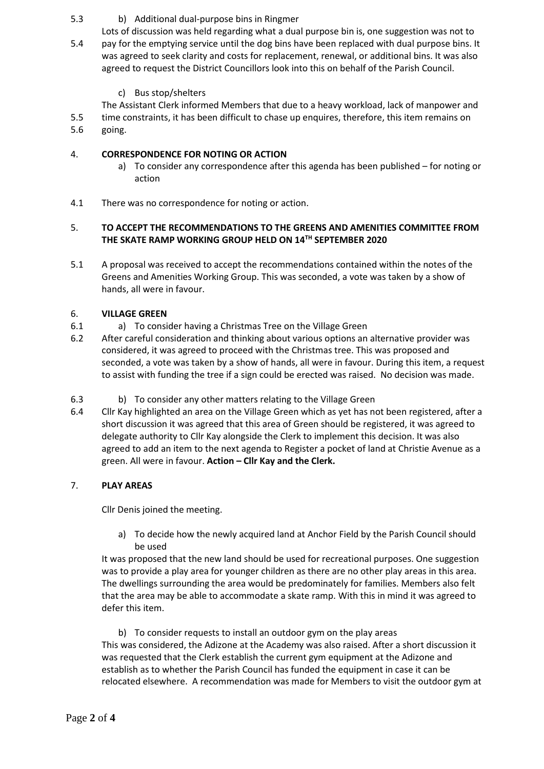#### 5.3 b) Additional dual-purpose bins in Ringmer

- 5.4 Lots of discussion was held regarding what a dual purpose bin is, one suggestion was not to pay for the emptying service until the dog bins have been replaced with dual purpose bins. It was agreed to seek clarity and costs for replacement, renewal, or additional bins. It was also agreed to request the District Councillors look into this on behalf of the Parish Council.
	- c) Bus stop/shelters

5.5 The Assistant Clerk informed Members that due to a heavy workload, lack of manpower and time constraints, it has been difficult to chase up enquires, therefore, this item remains on

5.6 going.

#### 4. **CORRESPONDENCE FOR NOTING OR ACTION**

- a) To consider any correspondence after this agenda has been published for noting or action
- 4.1 There was no correspondence for noting or action.

## 5. **TO ACCEPT THE RECOMMENDATIONS TO THE GREENS AND AMENITIES COMMITTEE FROM THE SKATE RAMP WORKING GROUP HELD ON 14TH SEPTEMBER 2020**

5.1 A proposal was received to accept the recommendations contained within the notes of the Greens and Amenities Working Group. This was seconded, a vote was taken by a show of hands, all were in favour.

#### 6. **VILLAGE GREEN**

- 6.1 a) To consider having a Christmas Tree on the Village Green
- 6.2 After careful consideration and thinking about various options an alternative provider was considered, it was agreed to proceed with the Christmas tree. This was proposed and seconded, a vote was taken by a show of hands, all were in favour. During this item, a request to assist with funding the tree if a sign could be erected was raised. No decision was made.
- 6.3 b) To consider any other matters relating to the Village Green
- 6.4 Cllr Kay highlighted an area on the Village Green which as yet has not been registered, after a short discussion it was agreed that this area of Green should be registered, it was agreed to delegate authority to Cllr Kay alongside the Clerk to implement this decision. It was also agreed to add an item to the next agenda to Register a pocket of land at Christie Avenue as a green. All were in favour. **Action – Cllr Kay and the Clerk.**

# 7. **PLAY AREAS**

Cllr Denis joined the meeting.

a) To decide how the newly acquired land at Anchor Field by the Parish Council should be used

It was proposed that the new land should be used for recreational purposes. One suggestion was to provide a play area for younger children as there are no other play areas in this area. The dwellings surrounding the area would be predominately for families. Members also felt that the area may be able to accommodate a skate ramp. With this in mind it was agreed to defer this item.

b) To consider requests to install an outdoor gym on the play areas This was considered, the Adizone at the Academy was also raised. After a short discussion it was requested that the Clerk establish the current gym equipment at the Adizone and establish as to whether the Parish Council has funded the equipment in case it can be relocated elsewhere. A recommendation was made for Members to visit the outdoor gym at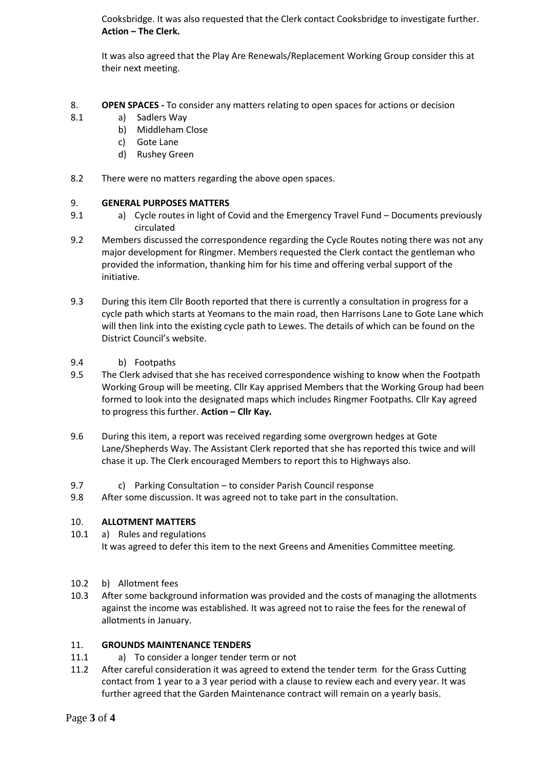Cooksbridge. It was also requested that the Clerk contact Cooksbridge to investigate further. **Action – The Clerk.**

It was also agreed that the Play Are Renewals/Replacement Working Group consider this at their next meeting.

- 8. **OPEN SPACES -** To consider any matters relating to open spaces for actions or decision
- 8.1 a) Sadlers Way
	- b) Middleham Close
	- c) Gote Lane
	- d) Rushey Green
- 8.2 There were no matters regarding the above open spaces.

#### 9. **GENERAL PURPOSES MATTERS**

- 9.1 a) Cycle routes in light of Covid and the Emergency Travel Fund – Documents previously circulated
- 9.2 Members discussed the correspondence regarding the Cycle Routes noting there was not any major development for Ringmer. Members requested the Clerk contact the gentleman who provided the information, thanking him for his time and offering verbal support of the initiative.
- 9.3 During this item Cllr Booth reported that there is currently a consultation in progress for a cycle path which starts at Yeomans to the main road, then Harrisons Lane to Gote Lane which will then link into the existing cycle path to Lewes. The details of which can be found on the District Council's website.
- 9.4 b) Footpaths
- 9.5 The Clerk advised that she has received correspondence wishing to know when the Footpath Working Group will be meeting. Cllr Kay apprised Members that the Working Group had been formed to look into the designated maps which includes Ringmer Footpaths. Cllr Kay agreed to progress this further. **Action – Cllr Kay.**
- 9.6 During this item, a report was received regarding some overgrown hedges at Gote Lane/Shepherds Way. The Assistant Clerk reported that she has reported this twice and will chase it up. The Clerk encouraged Members to report this to Highways also.
- 9.7 c) Parking Consultation – to consider Parish Council response
- 9.8 After some discussion. It was agreed not to take part in the consultation.

#### 10. **ALLOTMENT MATTERS**

- 10.1 a) Rules and regulations It was agreed to defer this item to the next Greens and Amenities Committee meeting.
- 10.2 b) Allotment fees
- 10.3 After some background information was provided and the costs of managing the allotments against the income was established. It was agreed not to raise the fees for the renewal of allotments in January.

#### 11. **GROUNDS MAINTENANCE TENDERS**

- 11.1 a) To consider a longer tender term or not
- 11.2 After careful consideration it was agreed to extend the tender term for the Grass Cutting contact from 1 year to a 3 year period with a clause to review each and every year. It was further agreed that the Garden Maintenance contract will remain on a yearly basis.